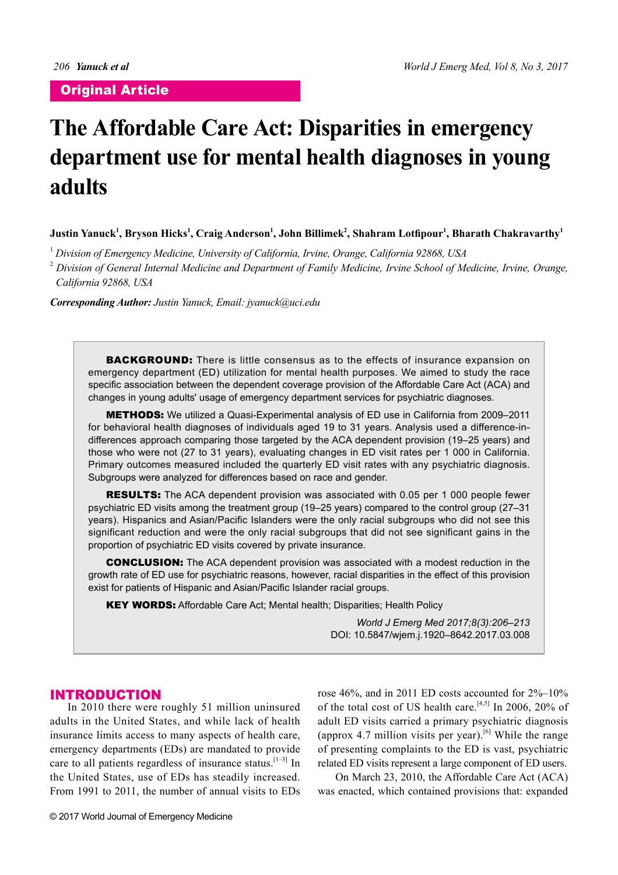# **The Affordable Care Act: Disparities in emergency department use for mental health diagnoses in young adults**

 $\bf{J}$ ustin Yanuck $^1$ , Bryson Hicks $^1$ , Craig Anderson $^1$ , John Billimek $^2$ , Shahram Lotfipour $^1$ , Bharath Chakravarthy $^1$ 

1  *Division of Emergency Medicine, University of California, Irvine, Orange, California 92868, USA*

2  *Division of General Internal Medicine and Department of Family Medicine, Irvine School of Medicine, Irvine, Orange, California 92868, USA*

*Corresponding Author: Justin Yanuck, Email: jyanuck@uci.edu*

**BACKGROUND:** There is little consensus as to the effects of insurance expansion on emergency department (ED) utilization for mental health purposes. We aimed to study the race specific association between the dependent coverage provision of the Affordable Care Act (ACA) and changes in young adults' usage of emergency department services for psychiatric diagnoses.

METHODS: We utilized a Quasi-Experimental analysis of ED use in California from 2009*–*2011 for behavioral health diagnoses of individuals aged 19 to 31 years. Analysis used a difference-indifferences approach comparing those targeted by the ACA dependent provision (19*–*25 years) and those who were not (27 to 31 years), evaluating changes in ED visit rates per 1 000 in California. Primary outcomes measured included the quarterly ED visit rates with any psychiatric diagnosis. Subgroups were analyzed for differences based on race and gender.

**RESULTS:** The ACA dependent provision was associated with 0.05 per 1 000 people fewer psychiatric ED visits among the treatment group (19*–*25 years) compared to the control group (27*–*31 years). Hispanics and Asian/Pacific Islanders were the only racial subgroups who did not see this significant reduction and were the only racial subgroups that did not see significant gains in the proportion of psychiatric ED visits covered by private insurance.

CONCLUSION: The ACA dependent provision was associated with a modest reduction in the growth rate of ED use for psychiatric reasons, however, racial disparities in the effect of this provision exist for patients of Hispanic and Asian/Pacific Islander racial groups.

KEY WORDS: Affordable Care Act; Mental health; Disparities; Health Policy

*World J Emerg Med 2017;8(3):206–213* DOI: 10.5847/wjem.j.1920–8642.2017.03.008

# INTRODUCTION

In 2010 there were roughly 51 million uninsured adults in the United States, and while lack of health insurance limits access to many aspects of health care, emergency departments (EDs) are mandated to provide care to all patients regardless of insurance status.  $[1-3]$  In the United States, use of EDs has steadily increased. From 1991 to 2011, the number of annual visits to EDs

rose 46%, and in 2011 ED costs accounted for 2%–10% of the total cost of US health care.<sup>[4,5]</sup> In 2006, 20% of adult ED visits carried a primary psychiatric diagnosis (approx 4.7 million visits per year).<sup>[6]</sup> While the range of presenting complaints to the ED is vast, psychiatric related ED visits represent a large component of ED users.

On March 23, 2010, the Affordable Care Act (ACA) was enacted, which contained provisions that: expanded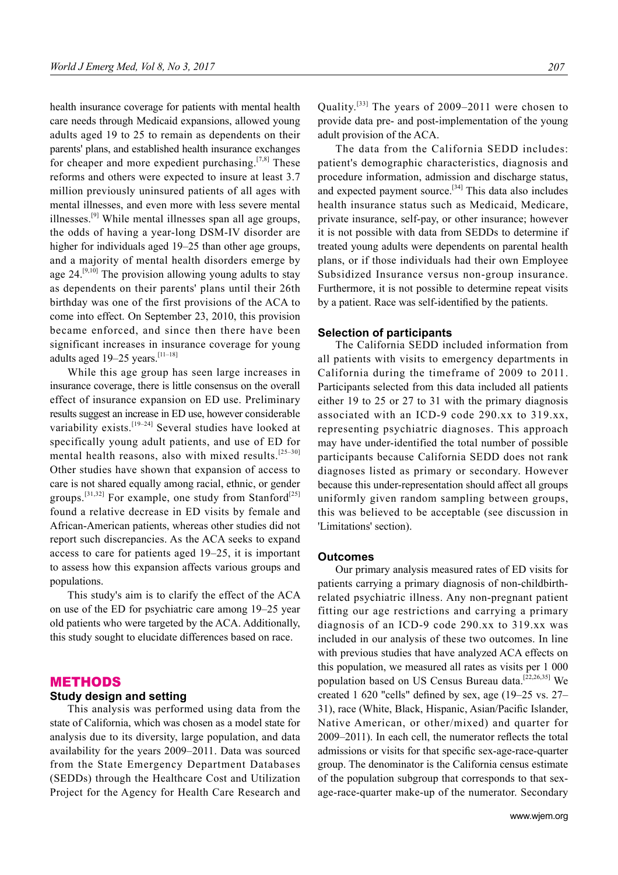health insurance coverage for patients with mental health care needs through Medicaid expansions, allowed young adults aged 19 to 25 to remain as dependents on their parents' plans, and established health insurance exchanges for cheaper and more expedient purchasing.<sup>[7,8]</sup> These reforms and others were expected to insure at least 3.7 million previously uninsured patients of all ages with mental illnesses, and even more with less severe mental illnesses. $^{[9]}$  While mental illnesses span all age groups, the odds of having a year-long DSM-IV disorder are higher for individuals aged 19–25 than other age groups, and a majority of mental health disorders emerge by age  $24.^{[9,10]}$  The provision allowing young adults to stay as dependents on their parents' plans until their 26th birthday was one of the first provisions of the ACA to come into effect. On September 23, 2010, this provision became enforced, and since then there have been significant increases in insurance coverage for young adults aged 19–25 years.  $[11-18]$ 

While this age group has seen large increases in insurance coverage, there is little consensus on the overall effect of insurance expansion on ED use. Preliminary results suggest an increase in ED use, however considerable variability exists.<sup>[19–24]</sup> Several studies have looked at specifically young adult patients, and use of ED for mental health reasons, also with mixed results.<sup>[25-30]</sup> Other studies have shown that expansion of access to care is not shared equally among racial, ethnic, or gender groups.<sup>[31,32]</sup> For example, one study from Stanford<sup>[25]</sup> found a relative decrease in ED visits by female and African-American patients, whereas other studies did not report such discrepancies. As the ACA seeks to expand access to care for patients aged 19–25, it is important to assess how this expansion affects various groups and populations.

This study's aim is to clarify the effect of the ACA on use of the ED for psychiatric care among 19–25 year old patients who were targeted by the ACA. Additionally, this study sought to elucidate differences based on race.

### METHODS

#### **Study design and setting**

This analysis was performed using data from the state of California, which was chosen as a model state for analysis due to its diversity, large population, and data availability for the years 2009–2011. Data was sourced from the State Emergency Department Databases (SEDDs) through the Healthcare Cost and Utilization Project for the Agency for Health Care Research and Quality.[33] The years of 2009–2011 were chosen to provide data pre- and post-implementation of the young adult provision of the ACA.

The data from the California SEDD includes: patient's demographic characteristics, diagnosis and procedure information, admission and discharge status, and expected payment source.[34] This data also includes health insurance status such as Medicaid, Medicare, private insurance, self-pay, or other insurance; however it is not possible with data from SEDDs to determine if treated young adults were dependents on parental health plans, or if those individuals had their own Employee Subsidized Insurance versus non-group insurance. Furthermore, it is not possible to determine repeat visits by a patient. Race was self-identified by the patients.

#### **Selection of participants**

The California SEDD included information from all patients with visits to emergency departments in California during the timeframe of 2009 to 2011. Participants selected from this data included all patients either 19 to 25 or 27 to 31 with the primary diagnosis associated with an ICD-9 code 290.xx to 319.xx, representing psychiatric diagnoses. This approach may have under-identified the total number of possible participants because California SEDD does not rank diagnoses listed as primary or secondary. However because this under-representation should affect all groups uniformly given random sampling between groups, this was believed to be acceptable (see discussion in 'Limitations' section).

#### **Outcomes**

Our primary analysis measured rates of ED visits for patients carrying a primary diagnosis of non-childbirthrelated psychiatric illness. Any non-pregnant patient fitting our age restrictions and carrying a primary diagnosis of an ICD-9 code 290.xx to 319.xx was included in our analysis of these two outcomes. In line with previous studies that have analyzed ACA effects on this population, we measured all rates as visits per 1 000 population based on US Census Bureau data.[22,26,35] We created 1 620 "cells" defined by sex, age  $(19-25 \text{ vs. } 27-$ 31), race (White, Black, Hispanic, Asian/Pacific Islander, Native American, or other/mixed) and quarter for  $2009-2011$ ). In each cell, the numerator reflects the total admissions or visits for that specific sex-age-race-quarter group. The denominator is the California census estimate of the population subgroup that corresponds to that sexage-race-quarter make-up of the numerator. Secondary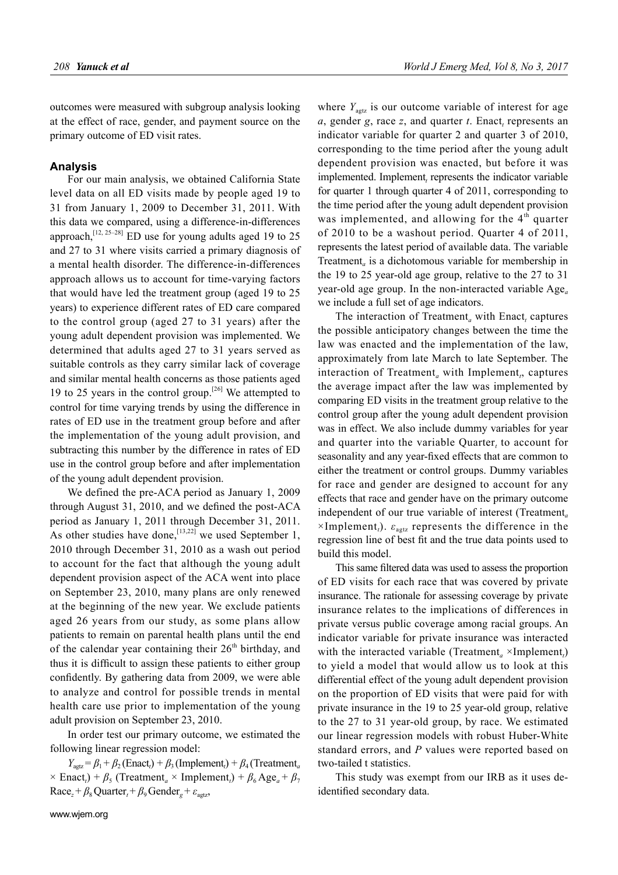outcomes were measured with subgroup analysis looking at the effect of race, gender, and payment source on the primary outcome of ED visit rates.

#### **Analysis**

For our main analysis, we obtained California State level data on all ED visits made by people aged 19 to 31 from January 1, 2009 to December 31, 2011. With this data we compared, using a difference-in-differences approach,  $^{[12, 25-28]}$  ED use for young adults aged 19 to 25 and 27 to 31 where visits carried a primary diagnosis of a mental health disorder. The difference-in-differences approach allows us to account for time-varying factors that would have led the treatment group (aged 19 to 25 years) to experience different rates of ED care compared to the control group (aged 27 to 31 years) after the young adult dependent provision was implemented. We determined that adults aged 27 to 31 years served as suitable controls as they carry similar lack of coverage and similar mental health concerns as those patients aged 19 to 25 years in the control group.<sup>[26]</sup> We attempted to control for time varying trends by using the difference in rates of ED use in the treatment group before and after the implementation of the young adult provision, and subtracting this number by the difference in rates of ED use in the control group before and after implementation of the young adult dependent provision.

We defined the pre-ACA period as January 1, 2009 through August 31, 2010, and we defined the post- $ACA$ period as January 1, 2011 through December 31, 2011. As other studies have done,  $[13,22]$  we used September 1, 2010 through December 31, 2010 as a wash out period to account for the fact that although the young adult dependent provision aspect of the ACA went into place on September 23, 2010, many plans are only renewed at the beginning of the new year. We exclude patients aged 26 years from our study, as some plans allow patients to remain on parental health plans until the end of the calendar year containing their  $26<sup>th</sup>$  birthday, and thus it is difficult to assign these patients to either group confidently. By gathering data from 2009, we were able to analyze and control for possible trends in mental health care use prior to implementation of the young adult provision on September 23, 2010.

In order test our primary outcome, we estimated the following linear regression model:

 $Y_{\text{agz}} = \beta_1 + \beta_2$  (Enact<sub>*t*</sub>)</sub> +  $\beta_3$  (Implement<sub>*t*</sub>) +  $\beta_4$  (Treatment<sub>*a*</sub>)  $\times$  Enact<sub>*t*</sub>)</sub> +  $\beta$ <sub>5</sub> (Treatment<sub>*a*</sub>  $\times$  Implement<sub>*t*</sub>)</sub> +  $\beta$ <sub>6</sub> Age<sub>*a*</sub> +  $\beta$ <sub>7</sub>  $Race_z + \beta_8 Quarter_t + \beta_9 Gender_s + \varepsilon_{\text{aertz}}$ 

where  $Y_{\text{autz}}$  is our outcome variable of interest for age *a*, gender *g*, race *z*, and quarter *t*. Enact<sub>t</sub> represents an indicator variable for quarter 2 and quarter 3 of 2010, corresponding to the time period after the young adult dependent provision was enacted, but before it was implemented. Implement, represents the indicator variable for quarter 1 through quarter 4 of 2011, corresponding to the time period after the young adult dependent provision was implemented, and allowing for the 4<sup>th</sup> quarter of 2010 to be a washout period. Quarter 4 of 2011, represents the latest period of available data. The variable Treatment*<sup>a</sup>* is a dichotomous variable for membership in the 19 to 25 year-old age group, relative to the 27 to 31 year-old age group. In the non-interacted variable Age*<sup>a</sup>* we include a full set of age indicators.

The interaction of  $Treatment_a$  with  $Enact_t$  captures the possible anticipatory changes between the time the law was enacted and the implementation of the law, approximately from late March to late September. The interaction of Treatment<sub>a</sub> with Implement<sub>t</sub>, captures the average impact after the law was implemented by comparing ED visits in the treatment group relative to the control group after the young adult dependent provision was in effect. We also include dummy variables for year and quarter into the variable Quarter, to account for seasonality and any year-fixed effects that are common to either the treatment or control groups. Dummy variables for race and gender are designed to account for any effects that race and gender have on the primary outcome independent of our true variable of interest (Treatment*<sup>a</sup>*  $\times$ Implement<sub>*t*</sub>).  $\varepsilon_{\text{agtz}}$  represents the difference in the regression line of best fit and the true data points used to build this model.

This same filtered data was used to assess the proportion of ED visits for each race that was covered by private insurance. The rationale for assessing coverage by private insurance relates to the implications of differences in private versus public coverage among racial groups. An indicator variable for private insurance was interacted with the interacted variable (Treatment<sub>a</sub> ×Implement<sub>t</sub>) to yield a model that would allow us to look at this differential effect of the young adult dependent provision on the proportion of ED visits that were paid for with private insurance in the 19 to 25 year-old group, relative to the 27 to 31 year-old group, by race. We estimated our linear regression models with robust Huber-White standard errors, and *P* values were reported based on two-tailed t statistics.

This study was exempt from our IRB as it uses deidentified secondary data.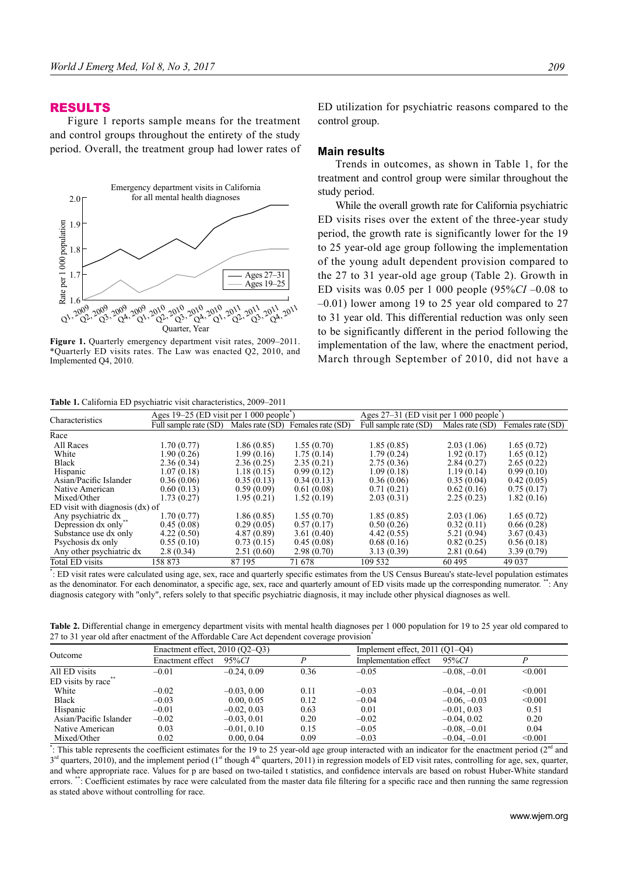## RESULTS

Figure 1 reports sample means for the treatment and control groups throughout the entirety of the study period. Overall, the treatment group had lower rates of



**Figure 1.** Quarterly emergency department visit rates, 2009–2011. \*Quarterly ED visits rates. The Law was enacted Q2, 2010, and Implemented Q4, 2010.

**Table 1.** California ED psychiatric visit characteristics, 2009–2011

ED utilization for psychiatric reasons compared to the control group.

#### **Main results**

Trends in outcomes, as shown in Table 1, for the treatment and control group were similar throughout the study period.

While the overall growth rate for California psychiatric ED visits rises over the extent of the three-year study period, the growth rate is significantly lower for the 19 to 25 year-old age group following the implementation of the young adult dependent provision compared to the 27 to 31 year-old age group (Table 2). Growth in ED visits was 0.05 per 1 000 people (95%*CI* –0.08 to –0.01) lower among 19 to 25 year old compared to 27 to 31 year old. This differential reduction was only seen to be significantly different in the period following the implementation of the law, where the enactment period, March through September of 2010, did not have a

| Characteristics                 | Ages $19-25$ (ED visit per 1 000 people) |                 |                   | Ages $27-31$ (ED visit per 1 000 people) |                 |                   |
|---------------------------------|------------------------------------------|-----------------|-------------------|------------------------------------------|-----------------|-------------------|
|                                 | Full sample rate (SD)                    | Males rate (SD) | Females rate (SD) | Full sample rate (SD)                    | Males rate (SD) | Females rate (SD) |
| Race                            |                                          |                 |                   |                                          |                 |                   |
| All Races                       | 1.70(0.77)                               | 1.86 (0.85)     | 1.55(0.70)        | 1.85(0.85)                               | 2.03(1.06)      | 1.65(0.72)        |
| White                           | 1.90 (0.26)                              | 1.99 (0.16)     | 1.75(0.14)        | 1.79 (0.24)                              | 1.92(0.17)      | 1.65(0.12)        |
| Black                           | 2.36(0.34)                               | 2.36(0.25)      | 2.35(0.21)        | 2.75(0.36)                               | 2.84(0.27)      | 2.65(0.22)        |
| Hispanic                        | 1.07(0.18)                               | 1.18(0.15)      | 0.99(0.12)        | 1.09(0.18)                               | 1.19(0.14)      | 0.99(0.10)        |
| Asian/Pacific Islander          | 0.36(0.06)                               | 0.35(0.13)      | 0.34(0.13)        | 0.36(0.06)                               | 0.35(0.04)      | 0.42(0.05)        |
| Native American                 | 0.60(0.13)                               | 0.59(0.09)      | 0.61(0.08)        | 0.71(0.21)                               | 0.62(0.16)      | 0.75(0.17)        |
| Mixed/Other                     | 1.73 (0.27)                              | 1.95 (0.21)     | 1.52(0.19)        | 2.03(0.31)                               | 2.25(0.23)      | 1.82(0.16)        |
| ED visit with diagnosis (dx) of |                                          |                 |                   |                                          |                 |                   |
| Any psychiatric dx              | 1.70(0.77)                               | 1.86 (0.85)     | 1.55(0.70)        | 1.85(0.85)                               | 2.03(1.06)      | 1.65(0.72)        |
| Depression dx only**            | 0.45(0.08)                               | 0.29(0.05)      | 0.57(0.17)        | 0.50(0.26)                               | 0.32(0.11)      | 0.66(0.28)        |
| Substance use dx only           | 4.22(0.50)                               | 4.87 (0.89)     | 3.61(0.40)        | 4.42(0.55)                               | 5.21(0.94)      | 3.67(0.43)        |
| Psychosis dx only               | 0.55(0.10)                               | 0.73(0.15)      | 0.45(0.08)        | 0.68(0.16)                               | 0.82(0.25)      | 0.56(0.18)        |
| Any other psychiatric dx        | 2.8(0.34)                                | 2.51(0.60)      | 2.98(0.70)        | 3.13(0.39)                               | 2.81(0.64)      | 3.39(0.79)        |
| <b>Total ED visits</b>          | 158 873                                  | 87 195          | 71 678            | 109 532                                  | 60 495          | 49 0 37           |
|                                 |                                          |                 |                   |                                          |                 |                   |

\* : ED visit rates were calculated using age, sex, race and quarterly specifi c estimates from the US Census Bureau's state-level population estimates as the denominator. For each denominator, a specific age, sex, race and quarterly amount of ED visits made up the corresponding numerator. \*\*: Any diagnosis category with "only", refers solely to that specific psychiatric diagnosis, it may include other physical diagnoses as well.

Table 2. Differential change in emergency department visits with mental health diagnoses per 1 000 population for 19 to 25 year old compared to 27 to 31 year old after enactment of the Affordable Care Act dependent coverage provision\*

| Outcome                | Enactment effect, $2010 (Q2 - Q3)$ |               |      |                       | Implement effect, $2011 (Q1-Q4)$ |         |  |
|------------------------|------------------------------------|---------------|------|-----------------------|----------------------------------|---------|--|
|                        | Enactment effect                   | 95%CI         |      | Implementation effect | 95%CI                            |         |  |
| All ED visits          | $-0.01$                            | $-0.24, 0.09$ | 0.36 | $-0.05$               | $-0.08, -0.01$                   | < 0.001 |  |
| ED visits by race      |                                    |               |      |                       |                                  |         |  |
| White                  | $-0.02$                            | $-0.03, 0.00$ | 0.11 | $-0.03$               | $-0.04, -0.01$                   | < 0.001 |  |
| Black                  | $-0.03$                            | 0.00, 0.05    | 0.12 | $-0.04$               | $-0.06, -0.03$                   | < 0.001 |  |
| Hispanic               | $-0.01$                            | $-0.02, 0.03$ | 0.63 | 0.01                  | $-0.01, 0.03$                    | 0.51    |  |
| Asian/Pacific Islander | $-0.02$                            | $-0.03, 0.01$ | 0.20 | $-0.02$               | $-0.04, 0.02$                    | 0.20    |  |
| Native American        | 0.03                               | $-0.01, 0.10$ | 0.15 | $-0.05$               | $-0.08, -0.01$                   | 0.04    |  |
| Mixed/Other            | 0.02                               | 0.00, 0.04    | 0.09 | $-0.03$               | $-0.04, -0.01$                   | < 0.001 |  |

\*: This table represents the coefficient estimates for the 19 to 25 year-old age group interacted with an indicator for the enactment period ( $2<sup>nd</sup>$  and  $3<sup>rd</sup>$  quarters, 2010), and the implement period (1<sup>st</sup> though 4<sup>th</sup> quarters, 2011) in regression models of ED visit rates, controlling for age, sex, quarter, and where appropriate race. Values for p are based on two-tailed t statistics, and confidence intervals are based on robust Huber-White standard errors. the Coefficient estimates by race were calculated from the master data file filtering for a specific race and then running the same regression as stated above without controlling for race.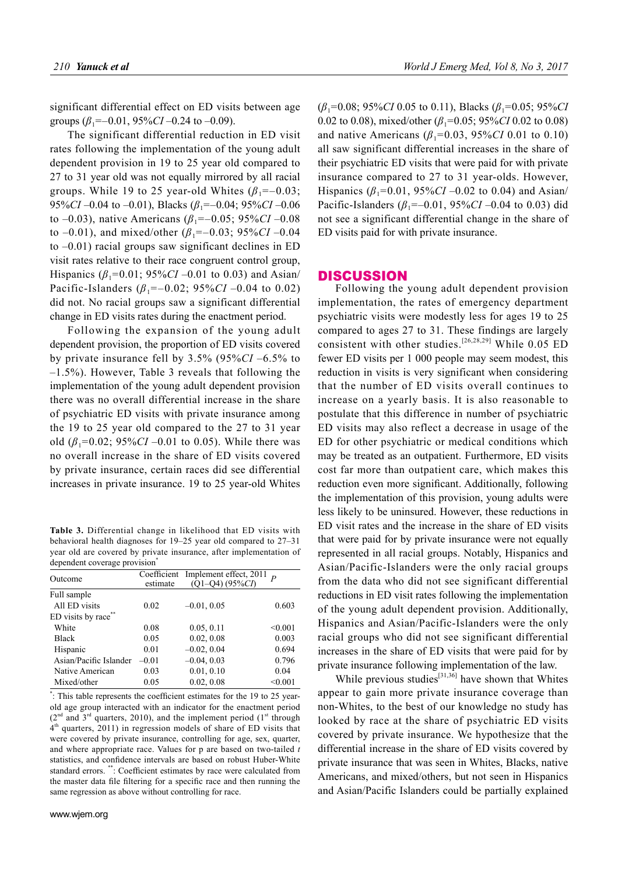significant differential effect on ED visits between age groups  $(\beta_1 = -0.01, 95\% CI - 0.24$  to  $-0.09$ ).

The significant differential reduction in ED visit rates following the implementation of the young adult dependent provision in 19 to 25 year old compared to 27 to 31 year old was not equally mirrored by all racial groups. While 19 to 25 year-old Whites  $(\beta_1 = -0.03)$ ; 95%*CI* –0.04 to –0.01), Blacks (*β*1=–0.04; 95%*CI* –0.06 to –0.03), native Americans ( $\beta_1$ =–0.05; 95%*CI* –0.08 to  $-0.01$ ), and mixed/other ( $\beta_1 = -0.03$ ; 95%*CI*  $-0.04$ ) to –0.01) racial groups saw significant declines in ED visit rates relative to their race congruent control group, Hispanics ( $\beta_1$ =0.01; 95%*CI* –0.01 to 0.03) and Asian/ Pacific-Islanders  $(\beta_1 = -0.02; 95\% CI - 0.04$  to 0.02) did not. No racial groups saw a significant differential change in ED visits rates during the enactment period.

Following the expansion of the young adult dependent provision, the proportion of ED visits covered by private insurance fell by 3.5% (95%*CI* –6.5% to –1.5%). However, Table 3 reveals that following the implementation of the young adult dependent provision there was no overall differential increase in the share of psychiatric ED visits with private insurance among the 19 to 25 year old compared to the 27 to 31 year old  $(\beta_1=0.02; 95\%CI - 0.01$  to 0.05). While there was no overall increase in the share of ED visits covered by private insurance, certain races did see differential increases in private insurance. 19 to 25 year-old Whites

**Table 3.** Differential change in likelihood that ED visits with behavioral health diagnoses for 19–25 year old compared to 27–31 year old are covered by private insurance, after implementation of dependent coverage provision<sup>\*</sup>

| Outcome                |          | Coefficient Implement effect, 2011 $_{p}$ |         |
|------------------------|----------|-------------------------------------------|---------|
|                        | estimate | $(Q1-Q4)$ $(95\%CI)$                      |         |
| Full sample            |          |                                           |         |
| All ED visits          | 0.02     | $-0.01, 0.05$                             | 0.603   |
| ED visits by race**    |          |                                           |         |
| White                  | 0.08     | 0.05, 0.11                                | < 0.001 |
| <b>Black</b>           | 0.05     | 0.02, 0.08                                | 0.003   |
| Hispanic               | 0.01     | $-0.02, 0.04$                             | 0.694   |
| Asian/Pacific Islander | $-0.01$  | $-0.04, 0.03$                             | 0.796   |
| Native American        | 0.03     | 0.01, 0.10                                | 0.04    |
| Mixed/other            | 0.05     | 0.02, 0.08                                | < 0.001 |

\*: This table represents the coefficient estimates for the 19 to 25 yearold age group interacted with an indicator for the enactment period  $(2<sup>nd</sup>$  and  $3<sup>rd</sup>$  quarters, 2010), and the implement period  $(1<sup>st</sup>$  through 4<sup>th</sup> quarters, 2011) in regression models of share of ED visits that were covered by private insurance, controlling for age, sex, quarter, and where appropriate race. Values for p are based on two-tailed *t* statistics, and confidence intervals are based on robust Huber-White standard errors. \*\*: Coefficient estimates by race were calculated from the master data file filtering for a specific race and then running the same regression as above without controlling for race.

(*β*1=0.08; 95%*CI* 0.05 to 0.11), Blacks (*β*1=0.05; 95%*CI* 0.02 to 0.08), mixed/other (*β*1=0.05; 95%*CI* 0.02 to 0.08) and native Americans ( $\beta_1$ =0.03, 95%*CI* 0.01 to 0.10) all saw significant differential increases in the share of their psychiatric ED visits that were paid for with private insurance compared to 27 to 31 year-olds. However, Hispanics ( $\beta_1$ =0.01, 95%*CI* –0.02 to 0.04) and Asian/ Pacific-Islanders ( $\beta_1$ =–0.01, 95%*CI* –0.04 to 0.03) did not see a significant differential change in the share of ED visits paid for with private insurance.

## **DISCUSSION**

Following the young adult dependent provision implementation, the rates of emergency department psychiatric visits were modestly less for ages 19 to 25 compared to ages 27 to 31. These findings are largely consistent with other studies.<sup>[26,28,29]</sup> While  $0.05$  ED fewer ED visits per 1 000 people may seem modest, this reduction in visits is very significant when considering that the number of ED visits overall continues to increase on a yearly basis. It is also reasonable to postulate that this difference in number of psychiatric ED visits may also reflect a decrease in usage of the ED for other psychiatric or medical conditions which may be treated as an outpatient. Furthermore, ED visits cost far more than outpatient care, which makes this reduction even more significant. Additionally, following the implementation of this provision, young adults were less likely to be uninsured. However, these reductions in ED visit rates and the increase in the share of ED visits that were paid for by private insurance were not equally represented in all racial groups. Notably, Hispanics and Asian/Pacific-Islanders were the only racial groups from the data who did not see significant differential reductions in ED visit rates following the implementation of the young adult dependent provision. Additionally, Hispanics and Asian/Pacific-Islanders were the only racial groups who did not see significant differential increases in the share of ED visits that were paid for by private insurance following implementation of the law.

While previous studies<sup>[31,36]</sup> have shown that Whites appear to gain more private insurance coverage than non-Whites, to the best of our knowledge no study has looked by race at the share of psychiatric ED visits covered by private insurance. We hypothesize that the differential increase in the share of ED visits covered by private insurance that was seen in Whites, Blacks, native Americans, and mixed/others, but not seen in Hispanics and Asian/Pacific Islanders could be partially explained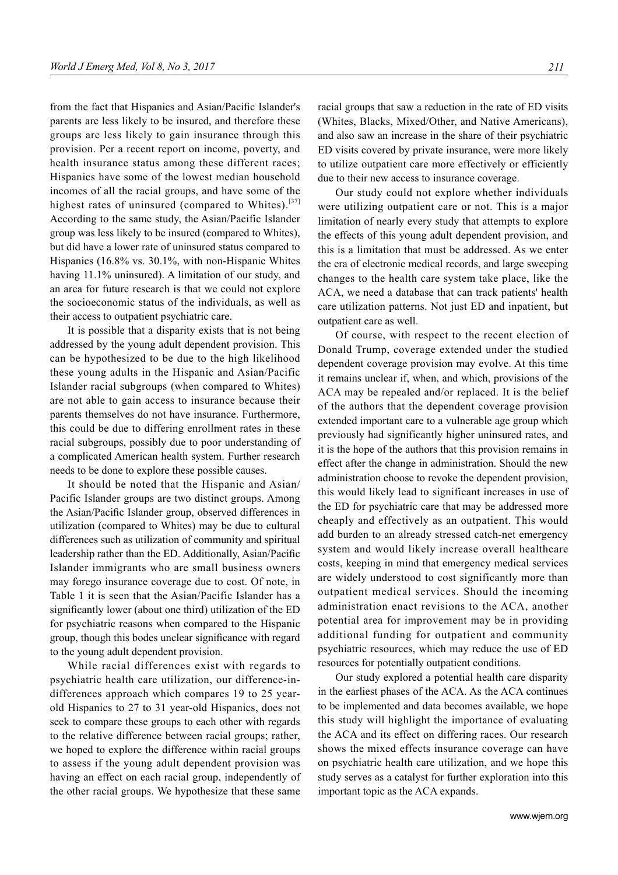from the fact that Hispanics and Asian/Pacific Islander's parents are less likely to be insured, and therefore these groups are less likely to gain insurance through this provision. Per a recent report on income, poverty, and health insurance status among these different races; Hispanics have some of the lowest median household incomes of all the racial groups, and have some of the highest rates of uninsured (compared to Whites).<sup>[37]</sup> According to the same study, the Asian/Pacific Islander group was less likely to be insured (compared to Whites), but did have a lower rate of uninsured status compared to Hispanics (16.8% vs. 30.1%, with non-Hispanic Whites having 11.1% uninsured). A limitation of our study, and an area for future research is that we could not explore the socioeconomic status of the individuals, as well as their access to outpatient psychiatric care.

It is possible that a disparity exists that is not being addressed by the young adult dependent provision. This can be hypothesized to be due to the high likelihood these young adults in the Hispanic and Asian/Pacific Islander racial subgroups (when compared to Whites) are not able to gain access to insurance because their parents themselves do not have insurance. Furthermore, this could be due to differing enrollment rates in these racial subgroups, possibly due to poor understanding of a complicated American health system. Further research needs to be done to explore these possible causes.

It should be noted that the Hispanic and Asian/ Pacific Islander groups are two distinct groups. Among the Asian/Pacific Islander group, observed differences in utilization (compared to Whites) may be due to cultural differences such as utilization of community and spiritual leadership rather than the ED. Additionally, Asian/Pacific Islander immigrants who are small business owners may forego insurance coverage due to cost. Of note, in Table 1 it is seen that the Asian/Pacific Islander has a significantly lower (about one third) utilization of the ED for psychiatric reasons when compared to the Hispanic group, though this bodes unclear significance with regard to the young adult dependent provision.

While racial differences exist with regards to psychiatric health care utilization, our difference-indifferences approach which compares 19 to 25 yearold Hispanics to 27 to 31 year-old Hispanics, does not seek to compare these groups to each other with regards to the relative difference between racial groups; rather, we hoped to explore the difference within racial groups to assess if the young adult dependent provision was having an effect on each racial group, independently of the other racial groups. We hypothesize that these same racial groups that saw a reduction in the rate of ED visits (Whites, Blacks, Mixed/Other, and Native Americans), and also saw an increase in the share of their psychiatric ED visits covered by private insurance, were more likely to utilize outpatient care more effectively or efficiently due to their new access to insurance coverage.

Our study could not explore whether individuals were utilizing outpatient care or not. This is a major limitation of nearly every study that attempts to explore the effects of this young adult dependent provision, and this is a limitation that must be addressed. As we enter the era of electronic medical records, and large sweeping changes to the health care system take place, like the ACA, we need a database that can track patients' health care utilization patterns. Not just ED and inpatient, but outpatient care as well.

Of course, with respect to the recent election of Donald Trump, coverage extended under the studied dependent coverage provision may evolve. At this time it remains unclear if, when, and which, provisions of the ACA may be repealed and/or replaced. It is the belief of the authors that the dependent coverage provision extended important care to a vulnerable age group which previously had significantly higher uninsured rates, and it is the hope of the authors that this provision remains in effect after the change in administration. Should the new administration choose to revoke the dependent provision, this would likely lead to significant increases in use of the ED for psychiatric care that may be addressed more cheaply and effectively as an outpatient. This would add burden to an already stressed catch-net emergency system and would likely increase overall healthcare costs, keeping in mind that emergency medical services are widely understood to cost significantly more than outpatient medical services. Should the incoming administration enact revisions to the ACA, another potential area for improvement may be in providing additional funding for outpatient and community psychiatric resources, which may reduce the use of ED resources for potentially outpatient conditions.

Our study explored a potential health care disparity in the earliest phases of the ACA. As the ACA continues to be implemented and data becomes available, we hope this study will highlight the importance of evaluating the ACA and its effect on differing races. Our research shows the mixed effects insurance coverage can have on psychiatric health care utilization, and we hope this study serves as a catalyst for further exploration into this important topic as the ACA expands.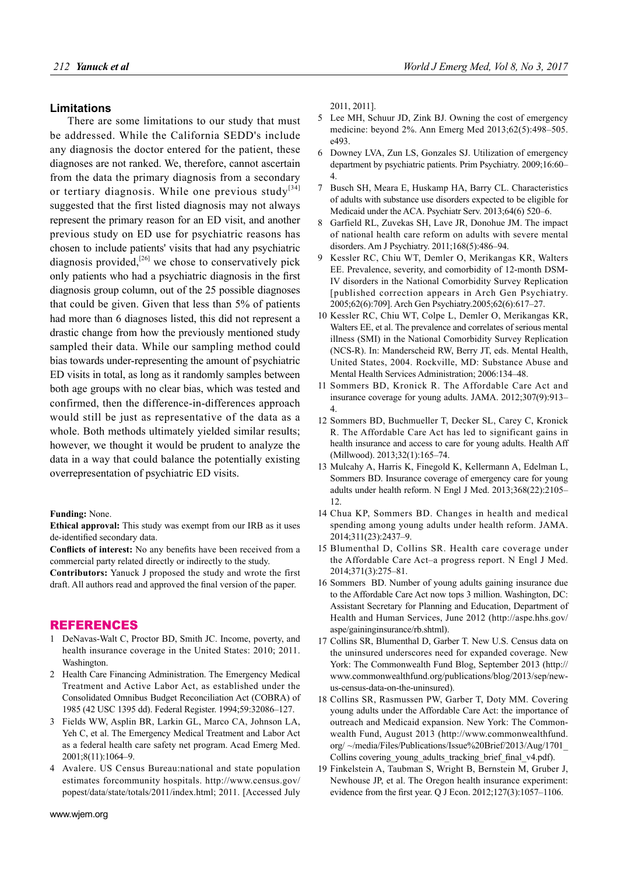# **Limitations**

There are some limitations to our study that must be addressed. While the California SEDD's include any diagnosis the doctor entered for the patient, these diagnoses are not ranked. We, therefore, cannot ascertain from the data the primary diagnosis from a secondary or tertiary diagnosis. While one previous study<sup>[34]</sup> suggested that the first listed diagnosis may not always represent the primary reason for an ED visit, and another previous study on ED use for psychiatric reasons has chosen to include patients' visits that had any psychiatric diagnosis provided, $[26]$  we chose to conservatively pick only patients who had a psychiatric diagnosis in the first diagnosis group column, out of the 25 possible diagnoses that could be given. Given that less than 5% of patients had more than 6 diagnoses listed, this did not represent a drastic change from how the previously mentioned study sampled their data. While our sampling method could bias towards under-representing the amount of psychiatric ED visits in total, as long as it randomly samples between both age groups with no clear bias, which was tested and confirmed, then the difference-in-differences approach would still be just as representative of the data as a whole. Both methods ultimately yielded similar results; however, we thought it would be prudent to analyze the data in a way that could balance the potentially existing overrepresentation of psychiatric ED visits.

#### **Funding:** None.

**Ethical approval:** This study was exempt from our IRB as it uses de-identified secondary data.

**Conflicts of interest:** No any benefits have been received from a commercial party related directly or indirectly to the study.

**Contributors:** Yanuck J proposed the study and wrote the first draft. All authors read and approved the final version of the paper.

### REFERENCES

- 1 DeNavas-Walt C, Proctor BD, Smith JC. Income, poverty, and health insurance coverage in the United States: 2010; 2011. Washington.
- 2 Health Care Financing Administration. The Emergency Medical Treatment and Active Labor Act, as established under the Consolidated Omnibus Budget Reconciliation Act (COBRA) of 1985 (42 USC 1395 dd). Federal Register. 1994;59:32086–127.
- 3 Fields WW, Asplin BR, Larkin GL, Marco CA, Johnson LA, Yeh C, et al. The Emergency Medical Treatment and Labor Act as a federal health care safety net program. Acad Emerg Med. 2001;8(11):1064–9.
- 4 Avalere. US Census Bureau:national and state population estimates forcommunity hospitals. http://www.census.gov/ popest/data/state/totals/2011/index.html; 2011. [Accessed July
- 5 Lee MH, Schuur JD, Zink BJ. Owning the cost of emergency medicine: beyond 2%. Ann Emerg Med 2013;62(5):498–505. e493.
- 6 Downey LVA, Zun LS, Gonzales SJ. Utilization of emergency department by psychiatric patients. Prim Psychiatry. 2009;16:60– 4.
- 7 Busch SH, Meara E, Huskamp HA, Barry CL. Characteristics of adults with substance use disorders expected to be eligible for Medicaid under the ACA. Psychiatr Serv. 2013;64(6) 520–6.
- 8 Garfield RL, Zuvekas SH, Lave JR, Donohue JM. The impact of national health care reform on adults with severe mental disorders. Am J Psychiatry. 2011;168(5):486–94.
- 9 Kessler RC, Chiu WT, Demler O, Merikangas KR, Walters EE. Prevalence, severity, and comorbidity of 12-month DSM-IV disorders in the National Comorbidity Survey Replication [published correction appears in Arch Gen Psychiatry. 2005;62(6):709]. Arch Gen Psychiatry.2005;62(6):617–27.
- 10 Kessler RC, Chiu WT, Colpe L, Demler O, Merikangas KR, Walters EE, et al. The prevalence and correlates of serious mental illness (SMI) in the National Comorbidity Survey Replication (NCS-R). In: Manderscheid RW, Berry JT, eds. Mental Health, United States, 2004. Rockville, MD: Substance Abuse and Mental Health Services Administration; 2006:134–48.
- 11 Sommers BD, Kronick R. The Affordable Care Act and insurance coverage for young adults. JAMA. 2012;307(9):913– 4.
- 12 Sommers BD, Buchmueller T, Decker SL, Carey C, Kronick R. The Affordable Care Act has led to significant gains in health insurance and access to care for young adults. Health Aff (Millwood). 2013;32(1):165–74.
- 13 Mulcahy A, Harris K, Finegold K, Kellermann A, Edelman L, Sommers BD. Insurance coverage of emergency care for young adults under health reform. N Engl J Med. 2013;368(22):2105– 12.
- 14 Chua KP, Sommers BD. Changes in health and medical spending among young adults under health reform. JAMA. 2014;311(23):2437–9.
- 15 Blumenthal D, Collins SR. Health care coverage under the Affordable Care Act–a progress report. N Engl J Med. 2014;371(3):275–81.
- 16 Sommers BD. Number of young adults gaining insurance due to the Affordable Care Act now tops 3 million. Washington, DC: Assistant Secretary for Planning and Education, Department of Health and Human Services, June 2012 (http://aspe.hhs.gov/ aspe/gaininginsurance/rb.shtml).
- 17 Collins SR, Blumenthal D, Garber T. New U.S. Census data on the uninsured underscores need for expanded coverage. New York: The Commonwealth Fund Blog, September 2013 (http:// www.commonwealthfund.org/publications/blog/2013/sep/newus-census-data-on-the-uninsured).
- 18 Collins SR, Rasmussen PW, Garber T, Doty MM. Covering young adults under the Affordable Care Act: the importance of outreach and Medicaid expansion. New York: The Commonwealth Fund, August 2013 (http://www.commonwealthfund. org/ ~/media/Files/Publications/Issue%20Brief/2013/Aug/1701\_ Collins covering young adults tracking brief final v4.pdf).
- 19 Finkelstein A, Taubman S, Wright B, Bernstein M, Gruber J, Newhouse JP, et al. The Oregon health insurance experiment: evidence from the first year. Q J Econ.  $2012;127(3):1057-1106$ .